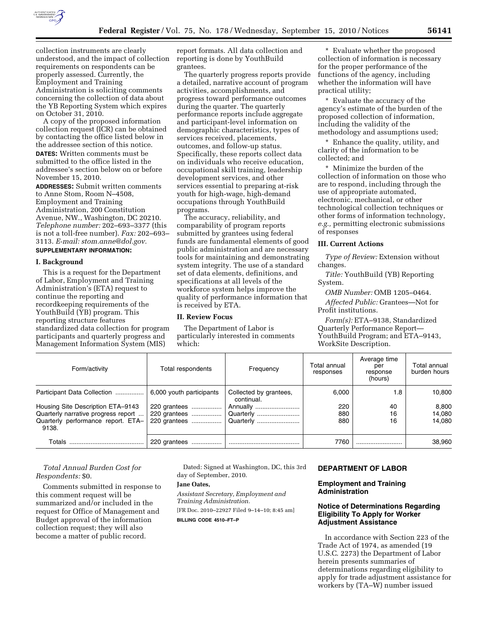

collection instruments are clearly understood, and the impact of collection requirements on respondents can be properly assessed. Currently, the Employment and Training Administration is soliciting comments concerning the collection of data about the YB Reporting System which expires on October 31, 2010.

A copy of the proposed information collection request (ICR) can be obtained by contacting the office listed below in the addressee section of this notice. **DATES:** Written comments must be submitted to the office listed in the addressee's section below on or before November 15, 2010.

**ADDRESSES:** Submit written comments to Anne Stom, Room N–4508, Employment and Training Administration, 200 Constitution Avenue, NW., Washington, DC 20210. *Telephone number:* 202–693–3377 (this is not a toll-free number). *Fax:* 202–693– 3113. *E-mail: [stom.anne@dol.gov.](mailto:stom.anne@dol.gov)* 

## **SUPPLEMENTARY INFORMATION:**

#### **I. Background**

This is a request for the Department of Labor, Employment and Training Administration's (ETA) request to continue the reporting and recordkeeping requirements of the YouthBuild (YB) program. This reporting structure features standardized data collection for program participants and quarterly progress and Management Information System (MIS)

report formats. All data collection and reporting is done by YouthBuild grantees.

The quarterly progress reports provide a detailed, narrative account of program activities, accomplishments, and progress toward performance outcomes during the quarter. The quarterly performance reports include aggregate and participant-level information on demographic characteristics, types of services received, placements, outcomes, and follow-up status. Specifically, these reports collect data on individuals who receive education, occupational skill training, leadership development services, and other services essential to preparing at-risk youth for high-wage, high-demand occupations through YouthBuild programs.

The accuracy, reliability, and comparability of program reports submitted by grantees using federal funds are fundamental elements of good public administration and are necessary tools for maintaining and demonstrating system integrity. The use of a standard set of data elements, definitions, and specifications at all levels of the workforce system helps improve the quality of performance information that is received by ETA.

#### **II. Review Focus**

The Department of Labor is particularly interested in comments which:

\* Evaluate whether the proposed collection of information is necessary for the proper performance of the functions of the agency, including whether the information will have practical utility;

\* Evaluate the accuracy of the agency's estimate of the burden of the proposed collection of information, including the validity of the methodology and assumptions used;

\* Enhance the quality, utility, and clarity of the information to be collected; and

\* Minimize the burden of the collection of information on those who are to respond, including through the use of appropriate automated, electronic, mechanical, or other technological collection techniques or other forms of information technology, *e.g.,* permitting electronic submissions of responses

### **III. Current Actions**

*Type of Review:* Extension without changes.

*Title:* YouthBuild (YB) Reporting System.

*OMB Number:* OMB 1205–0464.

*Affected Public:* Grantees—Not for Profit institutions.

*Form(s):* ETA–9138, Standardized Quarterly Performance Report— YouthBuild Program; and ETA–9143, WorkSite Description.

| Form/activity                               | Total respondents        | Frequency                            | Total annual<br>responses | Average time<br>per<br>response<br>(hours) | Total annual<br>burden hours |
|---------------------------------------------|--------------------------|--------------------------------------|---------------------------|--------------------------------------------|------------------------------|
| Participant Data Collection                 | 6,000 youth participants | Collected by grantees,<br>continual. | 6.000                     | 1.8                                        | 10,800                       |
| Housing Site Description ETA-9143           | 220 grantees             | Annually                             | 220                       | 40                                         | 8,800                        |
| Quarterly narrative progress report         | 220 grantees             | Quarterly                            | 880                       | 16                                         | 14.080                       |
| Quarterly performance report. ETA-<br>9138. | 220 grantees             | Quarterly                            | 880                       | 16                                         | 14.080                       |
| Totals                                      | 220 grantees             |                                      | 7760                      |                                            | 38,960                       |

### *Total Annual Burden Cost for Respondents:* \$0.

Comments submitted in response to this comment request will be summarized and/or included in the request for Office of Management and Budget approval of the information collection request; they will also become a matter of public record.

Dated: Signed at Washington, DC, this 3rd day of September, 2010.

#### **Jane Oates,**

*Assistant Secretary, Employment and Training Administration.*  [FR Doc. 2010–22927 Filed 9–14–10; 8:45 am] **BILLING CODE 4510–FT–P** 

## **DEPARTMENT OF LABOR**

#### **Employment and Training Administration**

## **Notice of Determinations Regarding Eligibility To Apply for Worker Adjustment Assistance**

In accordance with Section 223 of the Trade Act of 1974, as amended (19 U.S.C. 2273) the Department of Labor herein presents summaries of determinations regarding eligibility to apply for trade adjustment assistance for workers by (TA–W) number issued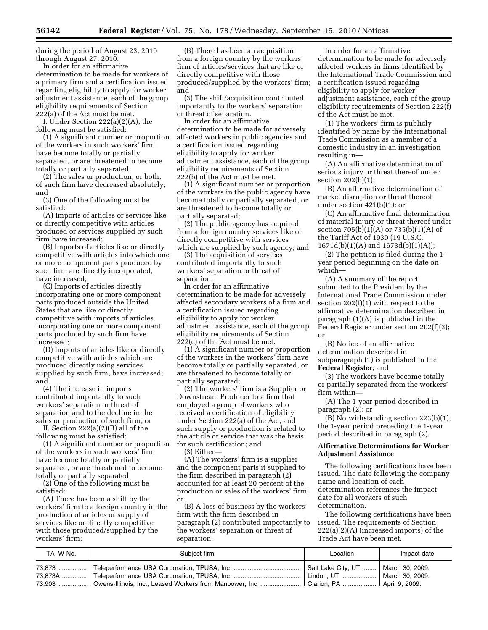during the period of August 23, 2010 through August 27, 2010.

In order for an affirmative determination to be made for workers of a primary firm and a certification issued regarding eligibility to apply for worker adjustment assistance, each of the group eligibility requirements of Section  $222(a)$  of the Act must be met.

I. Under Section 222(a)(2)(A), the following must be satisfied:

(1) A significant number or proportion of the workers in such workers' firm have become totally or partially separated, or are threatened to become totally or partially separated;

(2) The sales or production, or both, of such firm have decreased absolutely; and

(3) One of the following must be satisfied:

(A) Imports of articles or services like or directly competitive with articles produced or services supplied by such firm have increased;

(B) Imports of articles like or directly competitive with articles into which one or more component parts produced by such firm are directly incorporated, have increased;

(C) Imports of articles directly incorporating one or more component parts produced outside the United States that are like or directly competitive with imports of articles incorporating one or more component parts produced by such firm have increased;

(D) Imports of articles like or directly competitive with articles which are produced directly using services supplied by such firm, have increased; and

(4) The increase in imports contributed importantly to such workers' separation or threat of separation and to the decline in the sales or production of such firm; or

II. Section 222(a)(2)(B) all of the following must be satisfied:

(1) A significant number or proportion of the workers in such workers' firm have become totally or partially separated, or are threatened to become totally or partially separated;

(2) One of the following must be satisfied:

(A) There has been a shift by the workers' firm to a foreign country in the production of articles or supply of services like or directly competitive with those produced/supplied by the workers' firm;

(B) There has been an acquisition from a foreign country by the workers' firm of articles/services that are like or directly competitive with those produced/supplied by the workers' firm; and

(3) The shift/acquisition contributed importantly to the workers' separation or threat of separation.

In order for an affirmative determination to be made for adversely affected workers in public agencies and a certification issued regarding eligibility to apply for worker adjustment assistance, each of the group eligibility requirements of Section 222(b) of the Act must be met.

(1) A significant number or proportion of the workers in the public agency have become totally or partially separated, or are threatened to become totally or partially separated;

(2) The public agency has acquired from a foreign country services like or directly competitive with services which are supplied by such agency; and

(3) The acquisition of services contributed importantly to such workers' separation or threat of separation.

In order for an affirmative determination to be made for adversely affected secondary workers of a firm and a certification issued regarding eligibility to apply for worker adjustment assistance, each of the group eligibility requirements of Section 222(c) of the Act must be met.

(1) A significant number or proportion of the workers in the workers' firm have become totally or partially separated, or are threatened to become totally or partially separated;

(2) The workers' firm is a Supplier or Downstream Producer to a firm that employed a group of workers who received a certification of eligibility under Section 222(a) of the Act, and such supply or production is related to the article or service that was the basis for such certification; and

(3) Either—

(A) The workers' firm is a supplier and the component parts it supplied to the firm described in paragraph (2) accounted for at least 20 percent of the production or sales of the workers' firm; or

(B) A loss of business by the workers' firm with the firm described in paragraph (2) contributed importantly to the workers' separation or threat of separation.

In order for an affirmative determination to be made for adversely affected workers in firms identified by the International Trade Commission and a certification issued regarding eligibility to apply for worker adjustment assistance, each of the group eligibility requirements of Section 222(f) of the Act must be met.

(1) The workers' firm is publicly identified by name by the International Trade Commission as a member of a domestic industry in an investigation resulting in—

(A) An affirmative determination of serious injury or threat thereof under section 202(b)(1);

(B) An affirmative determination of market disruption or threat thereof under section 421(b)(1); or

(C) An affirmative final determination of material injury or threat thereof under section 705(b)(1)(A) or 735(b)(1)(A) of the Tariff Act of 1930 (19 U.S.C. 1671d(b)(1)(A) and 1673d(b)(1)(A));

(2) The petition is filed during the 1 year period beginning on the date on which—

(A) A summary of the report submitted to the President by the International Trade Commission under section 202(f)(1) with respect to the affirmative determination described in paragraph (1)(A) is published in the Federal Register under section 202(f)(3); or

(B) Notice of an affirmative determination described in subparagraph (1) is published in the **Federal Register**; and

(3) The workers have become totally or partially separated from the workers' firm within—

(A) The 1-year period described in paragraph (2); or

(B) Notwithstanding section 223(b)(1), the 1-year period preceding the 1-year period described in paragraph (2).

### **Affirmative Determinations for Worker Adjustment Assistance**

The following certifications have been issued. The date following the company name and location of each determination references the impact date for all workers of such determination.

The following certifications have been issued. The requirements of Section 222(a)(2)(A) (increased imports) of the Trade Act have been met.

| TA-W No. | Subiect firm                                                                                        | Location | Impact date     |
|----------|-----------------------------------------------------------------------------------------------------|----------|-----------------|
|          | .73,903    Owens-Illinois, Inc., Leased Workers from Manpower, Inc    Clarion, PA    April 9, 2009. |          | March 30. 2009. |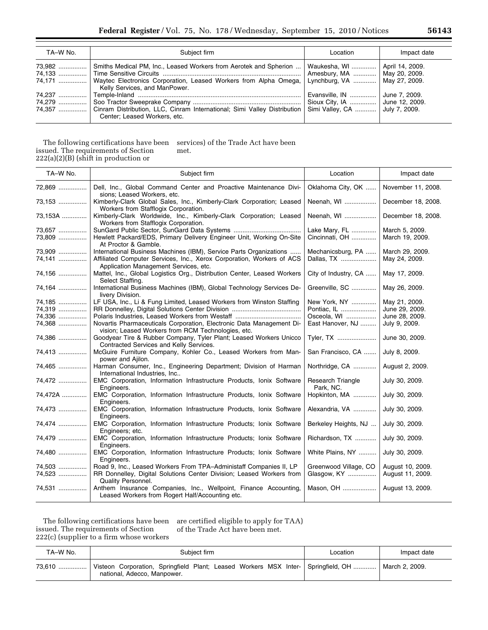| TA-W No. | Subject firm                                                                                                                                                                                                              | Location                                                         | Impact date   |
|----------|---------------------------------------------------------------------------------------------------------------------------------------------------------------------------------------------------------------------------|------------------------------------------------------------------|---------------|
|          | 73,982  Smiths Medical PM, Inc., Leased Workers from Aerotek and Spherion<br>74,171    Waytec Electronics Corporation, Leased Workers from Alpha Omega,   Lynchburg, VA    May 27, 2009.<br>Kelly Services, and ManPower. | Waukesha, WI    April 14, 2009.<br>Amesbury, MA    May 20, 2009. |               |
|          | 74,357  Cinram Distribution, LLC, Cinram International; Simi Valley Distribution   Simi Valley, CA    July 7, 2009.<br>Center: Leased Workers, etc.                                                                       | Evansville, IN<br>Sioux City, IA  June 12, 2009.                 | June 7, 2009. |

The following certifications have been issued. The requirements of Section  $222(a)(2)(B)$  (shift in production or services) of the Trade Act have been met.

| TA-W No.                             | Subject firm                                                                                                                                                                         | Location                                                       | Impact date                                                        |
|--------------------------------------|--------------------------------------------------------------------------------------------------------------------------------------------------------------------------------------|----------------------------------------------------------------|--------------------------------------------------------------------|
| 72,869                               | Dell, Inc., Global Command Center and Proactive Maintenance Divi-<br>sions; Leased Workers, etc.                                                                                     | Oklahoma City, OK                                              | November 11, 2008.                                                 |
| 73,153                               | Kimberly-Clark Global Sales, Inc., Kimberly-Clark Corporation; Leased<br>Workers from Stafflogix Corporation.                                                                        | Neenah, WI                                                     | December 18, 2008.                                                 |
| 73,153A                              | Kimberly-Clark Worldwide, Inc., Kimberly-Clark Corporation; Leased<br>Workers from Stafflogix Corporation.                                                                           | Neenah, WI                                                     | December 18, 2008.                                                 |
| 73,657<br>73,809                     | Hewlett Packard/EDS, Primary Delivery Engineer Unit, Working On-Site<br>At Proctor & Gamble.                                                                                         | Lake Mary, FL<br>Cincinnati, OH                                | March 5, 2009.<br>March 19, 2009.                                  |
| 73,909<br>74,141                     | International Business Machines (IBM), Service Parts Organizations<br>Affiliated Computer Services, Inc., Xerox Corporation, Workers of ACS<br>Application Management Services, etc. | Mechanicsburg, PA<br>Dallas, TX                                | March 29, 2009.<br>May 24, 2009.                                   |
| 74,156                               | Mattel, Inc., Global Logistics Org., Distribution Center, Leased Workers<br>Select Staffing.                                                                                         | City of Industry, CA                                           | May 17, 2009.                                                      |
| 74,164                               | International Business Machines (IBM), Global Technology Services De-<br>livery Division.                                                                                            | Greenville, SC                                                 | May 26, 2009.                                                      |
| 74,185<br>74,319<br>74,336<br>74,368 | LF USA, Inc., Li & Fung Limited, Leased Workers from Winston Staffing<br>Novartis Pharmaceuticals Corporation, Electronic Data Management Di-                                        | New York, NY<br>Pontiac, IL<br>Osceola, WI<br>East Hanover, NJ | May 21, 2009.<br>June 29, 2009.<br>June 28, 2009.<br>July 9, 2009. |
| 74,386                               | vision; Leased Workers from RCM Technologies, etc.<br>Goodyear Tire & Rubber Company, Tyler Plant; Leased Workers Unicco<br>Contracted Services and Kelly Services.                  | Tyler, TX                                                      | June 30, 2009.                                                     |
| 74,413                               | McGuire Furniture Company, Kohler Co., Leased Workers from Man-<br>power and Ajilon.                                                                                                 | San Francisco, CA                                              | July 8, 2009.                                                      |
| 74,465                               | Harman Consumer, Inc., Engineering Department; Division of Harman<br>International Industries, Inc                                                                                   | Northridge, CA                                                 | August 2, 2009.                                                    |
| 74,472                               | EMC Corporation, Information Infrastructure Products, Ionix Software<br>Engineers.                                                                                                   | <b>Research Triangle</b><br>Park, NC.                          | July 30, 2009.                                                     |
| 74,472A                              | EMC Corporation, Information Infrastructure Products, Ionix Software<br>Engineers.                                                                                                   | Hopkinton, MA                                                  | July 30, 2009.                                                     |
| 74,473                               | EMC Corporation, Information Infrastructure Products, Ionix Software<br>Engineers.                                                                                                   | Alexandria, VA                                                 | July 30, 2009.                                                     |
| 74,474                               | EMC Corporation, Information Infrastructure Products; Ionix Software<br>Engineers; etc.                                                                                              | Berkeley Heights, NJ                                           | July 30, 2009.                                                     |
| 74,479                               | EMC Corporation, Information Infrastructure Products; Ionix Software<br>Engineers.                                                                                                   | Richardson, TX                                                 | July 30, 2009.                                                     |
| 74,480                               | EMC Corporation, Information Infrastructure Products; Ionix Software<br>Engineers.                                                                                                   | White Plains, NY                                               | July 30, 2009.                                                     |
| 74,503<br>74,523                     | Road 9, Inc., Leased Workers From TPA-Administaff Companies II, LP<br>RR Donnelley, Digital Solutions Center Division; Leased Workers from<br><b>Quality Personnel.</b>              | Greenwood Village, CO<br>Glasgow, KY                           | August 10, 2009.<br>August 11, 2009.                               |
| 74,531                               | Anthem Insurance Companies, Inc., Wellpoint, Finance Accounting,<br>Leased Workers from Rogert Half/Accounting etc.                                                                  | Mason, OH                                                      | August 13, 2009.                                                   |

The following certifications have been issued. The requirements of Section 222(c) (supplier to a firm whose workers are certified eligible to apply for TAA) of the Trade Act have been met.

| TA-W No. | Subiect firm                                                                                                          | Location | Impact date    |
|----------|-----------------------------------------------------------------------------------------------------------------------|----------|----------------|
| 73.610   | Visteon Corporation, Springfield Plant; Leased Workers MSX Inter-   Springfield, OH   <br>national, Adecco, Manpower. |          | March 2, 2009. |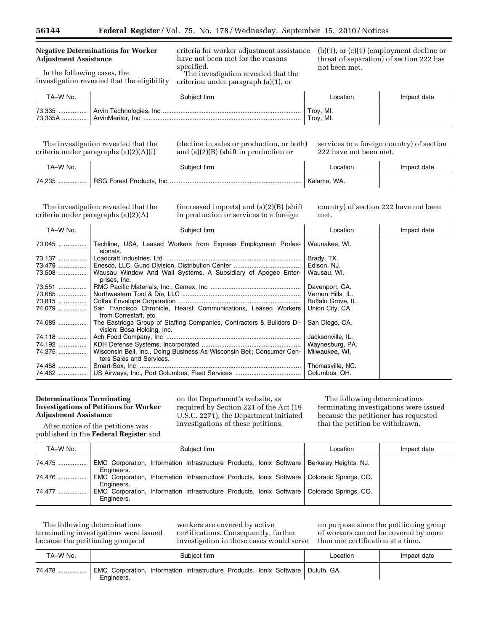### **Negative Determinations for Worker Adjustment Assistance**

In the following cases, the investigation revealed that the eligibility

criteria for worker adjustment assistance have not been met for the reasons specified. The investigation revealed that the

criterion under paragraph (a)(1), or

(b)(1), or (c)(1) (employment decline or threat of separation) of section 222 has not been met.

| TA-W No. | Subject firm | Location               | Impact date |
|----------|--------------|------------------------|-------------|
|          |              | Troy, MI.<br>Troy, MI. |             |

The investigation revealed that the criteria under paragraphs (a)(2)(A)(i)

(decline in sales or production, or both) and (a)(2)(B) (shift in production or

services to a foreign country) of section 222 have not been met.

| TA–W No. | Subject firm | _ocation    | Impact date |
|----------|--------------|-------------|-------------|
|          |              | Kalama, WA. |             |

The investigation revealed that the criteria under paragraphs (a)(2)(A)

(increased imports) and (a)(2)(B) (shift in production or services to a foreign

country) of section 222 have not been met.

| TA-W No. | Subject firm                                                                                                | Location           | Impact date |
|----------|-------------------------------------------------------------------------------------------------------------|--------------------|-------------|
|          | Techline, USA, Leased Workers from Express Employment Profes-<br>sionals.                                   | Waunakee, WI.      |             |
| 73,137   |                                                                                                             | Brady, TX.         |             |
|          | 73,479    Enesco, LLC, Gund Division, Distribution Center                                                   | Edison, NJ.        |             |
|          | 73,508    Wausau Window And Wall Systems, A Subsidiary of Apogee Enter-<br>prises, Inc.                     | Wausau, WI.        |             |
| 73,551   |                                                                                                             | Davenport, CA.     |             |
|          |                                                                                                             | Vernon Hills, IL.  |             |
|          |                                                                                                             | Buffalo Grove, IL. |             |
| 74,079   | San Francisco Chronicle, Hearst Communications, Leased Workers<br>from Correstaff, etc.                     | Union City, CA.    |             |
| 74,089   | The Eastridge Group of Staffing Companies, Contractors & Builders Di-<br>vision; Bosa Holding, Inc.         | San Diego, CA.     |             |
|          |                                                                                                             | Jacksonville, IL.  |             |
|          |                                                                                                             | Waynesburg, PA.    |             |
|          | 74,375    Wisconsin Bell, Inc., Doing Business As Wisconsin Bell; Consumer Cen-<br>ters Sales and Services. | Milwaukee, WI.     |             |
| 74,458   |                                                                                                             | Thomasville, NC.   |             |
|          |                                                                                                             | Columbus, OH.      |             |

### **Determinations Terminating Investigations of Petitions for Worker Adjustment Assistance**

After notice of the petitions was published in the **Federal Register** and on the Department's website, as required by Section 221 of the Act (19 U.S.C. 2271), the Department initiated investigations of these petitions.

The following determinations terminating investigations were issued because the petitioner has requested that the petition be withdrawn.

| TA-W No. | Subject firm                                                                                               | Location | Impact date |
|----------|------------------------------------------------------------------------------------------------------------|----------|-------------|
| 74,475   | EMC Corporation, Information Infrastructure Products, Ionix Software   Berkeley Heights, NJ.<br>Engineers. |          |             |
|          | EMC Corporation, Information Infrastructure Products, Ionix Software Colorado Springs, CO.<br>Engineers.   |          |             |
| 74,477   | EMC Corporation, Information Infrastructure Products, Ionix Software   Colorado Springs, CO.<br>Engineers. |          |             |

The following determinations terminating investigations were issued because the petitioning groups of

workers are covered by active certifications. Consequently, further investigation in these cases would serve

no purpose since the petitioning group of workers cannot be covered by more than one certification at a time.

| TA–W No. | Subject firm                                                                                     | _ocation | Impact date |
|----------|--------------------------------------------------------------------------------------------------|----------|-------------|
| 74,478   | EMC Corporation, Information Infrastructure Products, Ionix Software   Duluth, GA.<br>Engineers. |          |             |